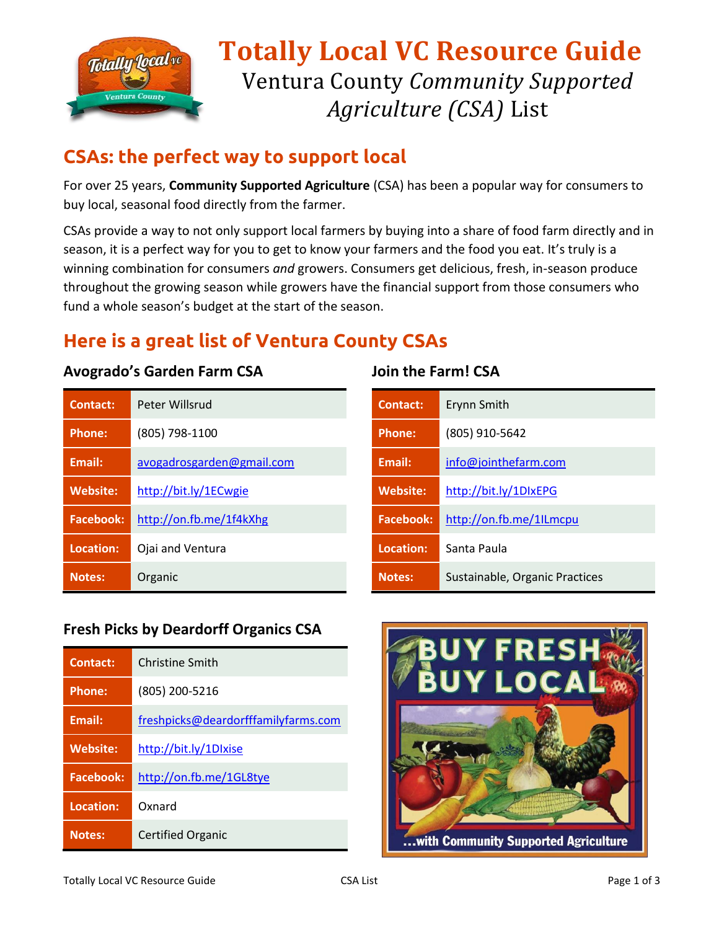

# **Totally Local VC Resource Guide** Ventura County *Community Supported Agriculture (CSA)* List

## **CSAs: the perfect way to support local**

For over 25 years, **Community Supported Agriculture** (CSA) has been a popular way for consumers to buy local, seasonal food directly from the farmer.

CSAs provide a way to not only support local farmers by buying into a share of food farm directly and in season, it is a perfect way for you to get to know your farmers and the food you eat. It's truly is a winning combination for consumers *and* growers. Consumers get delicious, fresh, in-season produce throughout the growing season while growers have the financial support from those consumers who fund a whole season's budget at the start of the season.

## **Here is a great list of Ventura County CSAs**

#### **Avogrado's Garden Farm CSA**

| Contact:         | Peter Willsrud            |
|------------------|---------------------------|
| <b>Phone:</b>    | (805) 798-1100            |
| <b>Email:</b>    | avogadrosgarden@gmail.com |
| <b>Website:</b>  | http://bit.ly/1ECwgie     |
| <b>Facebook:</b> | http://on.fb.me/1f4kXhg   |
| Location:        | Ojai and Ventura          |
| <b>Notes:</b>    | Organic                   |

#### **Join the Farm! CSA**

| <b>Contact:</b>  | Erynn Smith                    |
|------------------|--------------------------------|
| <b>Phone:</b>    | (805) 910-5642                 |
| Email:           | info@jointhefarm.com           |
| <b>Website:</b>  | http://bit.ly/1DIxEPG          |
| <b>Facebook:</b> | http://on.fb.me/1ILmcpu        |
| Location:        | Santa Paula                    |
| <b>Notes:</b>    | Sustainable, Organic Practices |

#### **Fresh Picks by Deardorff Organics CSA**

| Contact:         | Christine Smith                     |
|------------------|-------------------------------------|
| <b>Phone:</b>    | (805) 200-5216                      |
| <b>Email:</b>    | freshpicks@deardorfffamilyfarms.com |
| <b>Website:</b>  | http://bit.ly/1DIxise               |
| <b>Facebook:</b> | http://on.fb.me/1GL8tye             |
| Location:        | Oxnard                              |
| <b>Notes:</b>    | <b>Certified Organic</b>            |

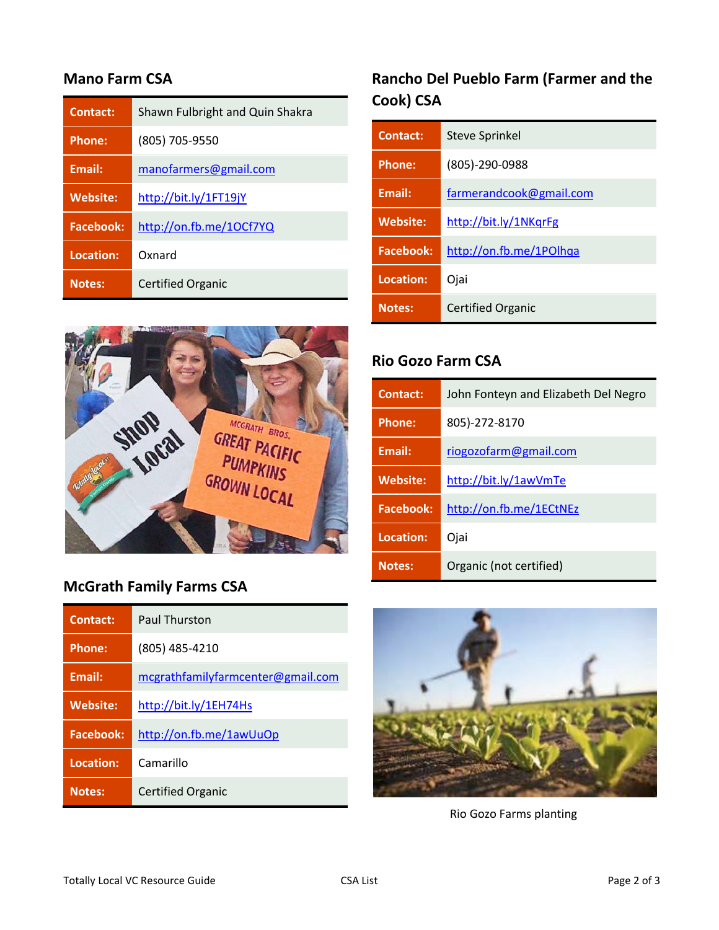#### **Mano Farm CSA**

| <b>Contact:</b>  | Shawn Fulbright and Quin Shakra |
|------------------|---------------------------------|
| <b>Phone:</b>    | (805) 705-9550                  |
| Email:           | manofarmers@gmail.com           |
| <b>Website:</b>  | http://bit.ly/1FT19jY           |
| <b>Facebook:</b> | http://on.fb.me/10Cf7YQ         |
| Location:        | Oxnard                          |
| <b>Notes:</b>    | <b>Certified Organic</b>        |

## **Rancho Del Pueblo Farm (Farmer and the Cook) CSA**

| Contact:         | <b>Steve Sprinkel</b>    |
|------------------|--------------------------|
| <b>Phone:</b>    | $(805) - 290 - 0988$     |
| <b>Email:</b>    | farmerandcook@gmail.com  |
| <b>Website:</b>  | http://bit.ly/1NKqrFg    |
| <b>Facebook:</b> | http://on.fb.me/1POlhqa  |
| Location:        | Ojai                     |
| <b>Notes:</b>    | <b>Certified Organic</b> |



### **McGrath Family Farms CSA**

| <b>Contact:</b>  | <b>Paul Thurston</b>              |
|------------------|-----------------------------------|
| <b>Phone:</b>    | (805) 485-4210                    |
| Email:           | mcgrathfamilyfarmcenter@gmail.com |
| <b>Website:</b>  | http://bit.ly/1EH74Hs             |
| <b>Facebook:</b> | http://on.fb.me/1awUuOp           |
| Location:        | Camarillo                         |
| <b>Notes:</b>    | <b>Certified Organic</b>          |

#### **Rio Gozo Farm CSA**

| Contact:        | John Fonteyn and Elizabeth Del Negro |
|-----------------|--------------------------------------|
| <b>Phone:</b>   | 805)-272-8170                        |
| <b>Email:</b>   | riogozofarm@gmail.com                |
| <b>Website:</b> | http://bit.ly/1awVmTe                |
| Facebook:       | http://on.fb.me/1ECtNEz              |
| Location:       | Ojai                                 |
| <b>Notes:</b>   | Organic (not certified)              |



Rio Gozo Farms planting